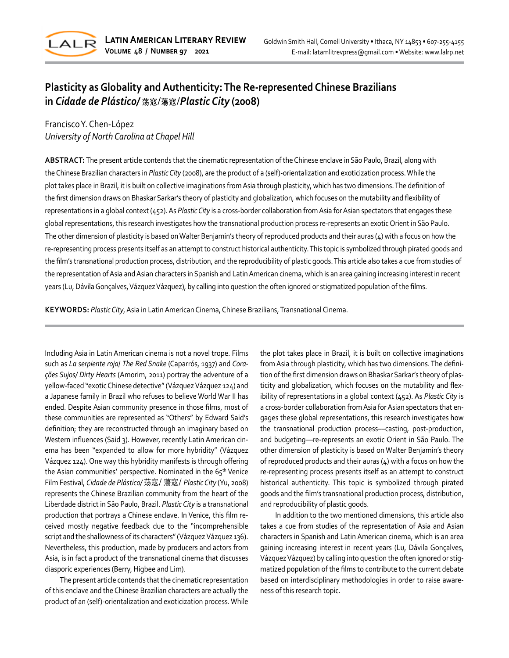

# **Plasticity as Globality and Authenticity: The Re-represented Chinese Brazilians in** *Cidade de Plástico/* 荡寇/蕩寇/*Plastic City* **(2008)**

Francisco Y. Chen-López *University of North Carolina at Chapel Hill*

**ABSTRACT:** The present article contends that the cinematic representation of the Chinese enclave in São Paulo, Brazil, along with the Chinese Brazilian characters in *Plastic City* (2008), are the product of a (self)-orientalization and exoticization process. While the plot takes place in Brazil, it is built on collective imaginations from Asia through plasticity, which has two dimensions. The definition of the first dimension draws on Bhaskar Sarkar's theory of plasticity and globalization, which focuses on the mutability and flexibility of representations in a global context (452). As *Plastic City* is a cross-border collaboration from Asia for Asian spectators that engages these global representations, this research investigates how the transnational production process re-represents an exotic Orient in São Paulo. The other dimension of plasticity is based on Walter Benjamin's theory of reproduced products and their auras (4) with a focus on how the re-representing process presents itself as an attempt to construct historical authenticity. This topic is symbolized through pirated goods and the film's transnational production process, distribution, and the reproducibility of plastic goods. This article also takes a cue from studies of the representation of Asia and Asian characters in Spanish and Latin American cinema, which is an area gaining increasing interestin recent years (Lu, Dávila Gonçalves, Vázquez Vázquez), by calling into question the often ignored or stigmatized population of the films.

**KEYWORDS:** *Plastic City*, Asia in Latin American Cinema, Chinese Brazilians, Transnational Cinema.

Including Asia in Latin American cinema is not a novel trope. Films such as *La serpiente roja*/ *The Red Snake* (Caparrós, 1937) and *Corações Sujos/ Dirty Hearts* (Amorim, 2011) portray the adventure of a yellow-faced "exotic Chinese detective" (Vázquez Vázquez 124) and a Japanese family in Brazil who refuses to believe World War II has ended. Despite Asian community presence in those films, most of these communities are represented as "Others" by Edward Said's definition; they are reconstructed through an imaginary based on Western influences (Said 3). However, recently Latin American cinema has been "expanded to allow for more hybridity" (Vázquez Vázquez 124). One way this hybridity manifests is through offering the Asian communities' perspective. Nominated in the 65<sup>th</sup> Venice Film Festival, *Cidade de Plástico/* 荡寇/ 蕩寇/ *Plastic City* (Yu, 2008) represents the Chinese Brazilian community from the heart of the Liberdade district in São Paulo, Brazil. *Plastic City* is a transnational production that portrays a Chinese enclave. In Venice, this film received mostly negative feedback due to the "incomprehensible script and the shallowness of its characters" (Vázquez Vázquez 136). Nevertheless, this production, made by producers and actors from Asia, is in fact a product of the transnational cinema that discusses diasporic experiences (Berry, Higbee and Lim).

The present article contends that the cinematic representation of this enclave and the Chinese Brazilian characters are actually the product of an (self)-orientalization and exoticization process. While

the plot takes place in Brazil, it is built on collective imaginations from Asia through plasticity, which has two dimensions. The definition of the first dimension draws on Bhaskar Sarkar's theory of plasticity and globalization, which focuses on the mutability and flexibility of representations in a global context (452). As *Plastic City* is a cross-border collaboration from Asia for Asian spectators that engages these global representations, this research investigates how the transnational production process––casting, post-production, and budgeting––re-represents an exotic Orient in São Paulo. The other dimension of plasticity is based on Walter Benjamin's theory of reproduced products and their auras  $(4)$  with a focus on how the re-representing process presents itself as an attempt to construct historical authenticity. This topic is symbolized through pirated goods and the film's transnational production process, distribution, and reproducibility of plastic goods.

In addition to the two mentioned dimensions, this article also takes a cue from studies of the representation of Asia and Asian characters in Spanish and Latin American cinema, which is an area gaining increasing interest in recent years (Lu, Dávila Gonçalves, Vázquez Vázquez) by calling into question the often ignored or stigmatized population of the films to contribute to the current debate based on interdisciplinary methodologies in order to raise awareness of this research topic.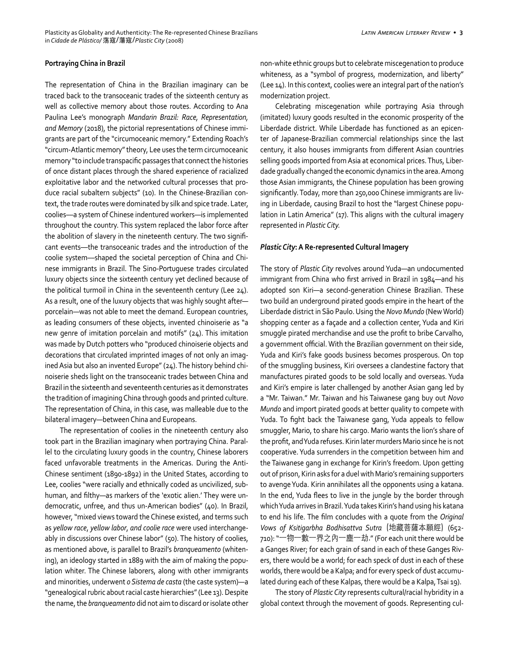#### **Portraying China in Brazil**

The representation of China in the Brazilian imaginary can be traced back to the transoceanic trades of the sixteenth century as well as collective memory about those routes. According to Ana Paulina Lee's monograph *Mandarin Brazil: Race, Representation, and Memory* (2018), the pictorial representations of Chinese immigrants are part of the "circumoceanic memory." Extending Roach's "circum-Atlantic memory" theory, Lee uses the term circumoceanic memory "to include transpacific passages that connect the histories of once distant places through the shared experience of racialized exploitative labor and the networked cultural processes that produce racial subaltern subjects" (10). In the Chinese-Brazilian context, the trade routes were dominated by silk and spice trade. Later, coolies––a system of Chinese indentured workers—is implemented throughout the country. This system replaced the labor force after the abolition of slavery in the nineteenth century. The two significant events––the transoceanic trades and the introduction of the coolie system––shaped the societal perception of China and Chinese immigrants in Brazil. The Sino-Portuguese trades circulated luxury objects since the sixteenth century yet declined because of the political turmoil in China in the seventeenth century (Lee 24). As a result, one of the luxury objects that was highly sought after porcelain—was not able to meet the demand. European countries, as leading consumers of these objects, invented chinoiserie as "a new genre of imitation porcelain and motifs" (24). This imitation was made by Dutch potters who "produced chinoiserie objects and decorations that circulated imprinted images of not only an imagined Asia but also an invented Europe" (24). The history behind chinoiserie sheds light on the transoceanic trades between China and Brazil in the sixteenth and seventeenth centuries as it demonstrates the tradition of imagining China through goods and printed culture. The representation of China, in this case, was malleable due to the bilateral imagery—between China and Europeans.

The representation of coolies in the nineteenth century also took part in the Brazilian imaginary when portraying China. Parallel to the circulating luxury goods in the country, Chinese laborers faced unfavorable treatments in the Americas. During the Anti-Chinese sentiment (1890-1892) in the United States, according to Lee, coolies "were racially and ethnically coded as uncivilized, subhuman, and filthy—as markers of the 'exotic alien.' They were undemocratic, unfree, and thus un-American bodies" (40). In Brazil, however, "mixed views toward the Chinese existed, and terms such as *yellow race*, *yellow labor*, *and coolie race* were used interchangeably in discussions over Chinese labor" (50). The history of coolies, as mentioned above, is parallel to Brazil's *branqueamento* (whitening), an ideology started in 1889 with the aim of making the population whiter. The Chinese laborers, along with other immigrants and minorities, underwent *o Sistema de casta* (the caste system)—a "genealogical rubric about racial caste hierarchies" (Lee 13). Despite the name, the *branqueamento* did not aim to discard or isolate other non-white ethnic groups but to celebrate miscegenation to produce whiteness, as a "symbol of progress, modernization, and liberty" (Lee 14). In this context, coolies were an integral part of the nation's modernization project.

Celebrating miscegenation while portraying Asia through (imitated) luxury goods resulted in the economic prosperity of the Liberdade district. While Liberdade has functioned as an epicenter of Japanese-Brazilian commercial relationships since the last century, it also houses immigrants from different Asian countries selling goods imported from Asia at economical prices. Thus, Liberdade gradually changed the economic dynamics in the area. Among those Asian immigrants, the Chinese population has been growing significantly. Today, more than 250,000 Chinese immigrants are living in Liberdade, causing Brazil to host the "largest Chinese population in Latin America" (17). This aligns with the cultural imagery represented in *Plastic City.*

#### *Plastic City***: A Re-represented Cultural Imagery**

The story of *Plastic City* revolves around Yuda—an undocumented immigrant from China who first arrived in Brazil in 1984—and his adopted son Kiri—a second-generation Chinese Brazilian. These two build an underground pirated goods empire in the heart of the Liberdade district in São Paulo. Using the *Novo Mundo* (New World) shopping center as a façade and a collection center, Yuda and Kiri smuggle pirated merchandise and use the profit to bribe Carvalho, a government official. With the Brazilian government on their side, Yuda and Kiri's fake goods business becomes prosperous. On top of the smuggling business, Kiri oversees a clandestine factory that manufactures pirated goods to be sold locally and overseas. Yuda and Kiri's empire is later challenged by another Asian gang led by a "Mr. Taiwan." Mr. Taiwan and his Taiwanese gang buy out *Novo Mundo* and import pirated goods at better quality to compete with Yuda. To fight back the Taiwanese gang, Yuda appeals to fellow smuggler, Mario, to share his cargo. Mario wants the lion's share of the profit, and Yuda refuses. Kirin later murders Mario since he is not cooperative. Yuda surrenders in the competition between him and the Taiwanese gang in exchange for Kirin's freedom. Upon getting out of prison, Kirin asks for a duel with Mario's remaining supporters to avenge Yuda. Kirin annihilates all the opponents using a katana. In the end, Yuda flees to live in the jungle by the border through which Yuda arrives in Brazil. Yuda takes Kirin's hand using his katana to end his life. The film concludes with a quote from the *Original Vows of Ksitigarbha Bodhisattva Sutra* (地藏菩薩本願經) (652- 710): "一物一數一界之內一塵一劫." (For each unit there would be a Ganges River; for each grain of sand in each of these Ganges Rivers, there would be a world; for each speck of dust in each of these worlds, there would be a Kalpa; and for every speck of dust accumulated during each of these Kalpas, there would be a Kalpa, Tsai 19).

The story of *Plastic City* represents cultural/racial hybridity in a global context through the movement of goods. Representing cul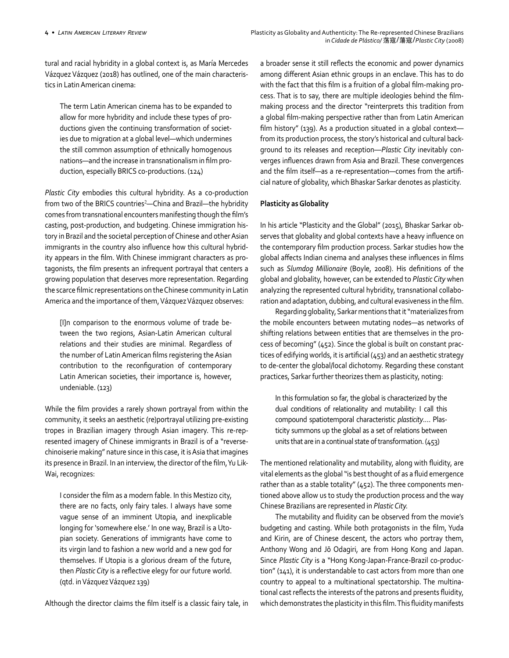tural and racial hybridity in a global context is, as María Mercedes Vázquez Vázquez (2018) has outlined, one of the main characteristics in Latin American cinema:

The term Latin American cinema has to be expanded to allow for more hybridity and include these types of productions given the continuing transformation of societies due to migration at a global level—which undermines the still common assumption of ethnically homogenous nations—and the increase in transnationalism in film production, especially BRICS co-productions. (124)

*Plastic City* embodies this cultural hybridity. As a co-production from two of the BRICS countries<sup>2</sup>—China and Brazil—the hybridity comes from transnational encounters manifesting though the film's casting, post-production, and budgeting. Chinese immigration history in Brazil and the societal perception of Chinese and other Asian immigrants in the country also influence how this cultural hybridity appears in the film. With Chinese immigrant characters as protagonists, the film presents an infrequent portrayal that centers a growing population that deserves more representation. Regarding the scarce filmic representations on the Chinese community in Latin America and the importance of them, Vázquez Vázquez observes:

[I]n comparison to the enormous volume of trade between the two regions, Asian-Latin American cultural relations and their studies are minimal. Regardless of the number of Latin American films registering the Asian contribution to the reconfiguration of contemporary Latin American societies, their importance is, however, undeniable. (123)

While the film provides a rarely shown portrayal from within the community, it seeks an aesthetic (re)portrayal utilizing pre-existing tropes in Brazilian imagery through Asian imagery. This re-represented imagery of Chinese immigrants in Brazil is of a "reversechinoiserie making" nature since in this case, it is Asia that imagines its presence in Brazil. In an interview, the director of the film, Yu Lik-Wai, recognizes:

I consider the film as a modern fable. In this Mestizo city, there are no facts, only fairy tales. I always have some vague sense of an imminent Utopia, and inexplicable longing for 'somewhere else.' In one way, Brazil is a Utopian society. Generations of immigrants have come to its virgin land to fashion a new world and a new god for themselves. If Utopia is a glorious dream of the future, then *Plastic City* is a reflective elegy for our future world. (qtd. in Vázquez Vázquez 139)

Although the director claims the film itself is a classic fairy tale, in

a broader sense it still reflects the economic and power dynamics among different Asian ethnic groups in an enclave. This has to do with the fact that this film is a fruition of a global film-making process. That is to say, there are multiple ideologies behind the filmmaking process and the director "reinterprets this tradition from a global film-making perspective rather than from Latin American film history" (139). As a production situated in a global contextfrom its production process, the story's historical and cultural background to its releases and reception––*Plastic City* inevitably converges influences drawn from Asia and Brazil. These convergences and the film itself—as a re-representation—comes from the artificial nature of globality, which Bhaskar Sarkar denotes as plasticity.

## **Plasticity as Globality**

In his article "Plasticity and the Global" (2015), Bhaskar Sarkar observes that globality and global contexts have a heavy influence on the contemporary film production process. Sarkar studies how the global affects Indian cinema and analyses these influences in films such as *Slumdog Millionaire* (Boyle, 2008). His definitions of the global and globality, however, can be extended to *Plastic City* when analyzing the represented cultural hybridity, transnational collaboration and adaptation, dubbing, and cultural evasiveness in the film.

Regarding globality, Sarkar mentions that it"materializes from the mobile encounters between mutating nodes—as networks of shifting relations between entities that are themselves in the process of becoming" (452). Since the global is built on constant practices of edifying worlds, it is artificial (453) and an aesthetic strategy to de-center the global/local dichotomy. Regarding these constant practices, Sarkar further theorizes them as plasticity, noting:

In this formulation so far, the global is characterized by the dual conditions of relationality and mutability: I call this compound spatiotemporal characteristic *plasticity*.… Plasticity summons up the global as a set of relations between units that are in a continual state of transformation. (453)

The mentioned relationality and mutability, along with fluidity, are vital elements as the global "is best thought of as a fluid emergence rather than as a stable totality" (452). The three components mentioned above allow us to study the production process and the way Chinese Brazilians are represented in *Plastic City.*

The mutability and fluidity can be observed from the movie's budgeting and casting. While both protagonists in the film, Yuda and Kirin, are of Chinese descent, the actors who portray them, Anthony Wong and Jō Odagiri, are from Hong Kong and Japan. Since *Plastic City* is a "Hong Kong-Japan-France-Brazil co-production" (141), it is understandable to cast actors from more than one country to appeal to a multinational spectatorship. The multinational cast reflects the interests of the patrons and presents fluidity, which demonstrates the plasticity in this film. This fluidity manifests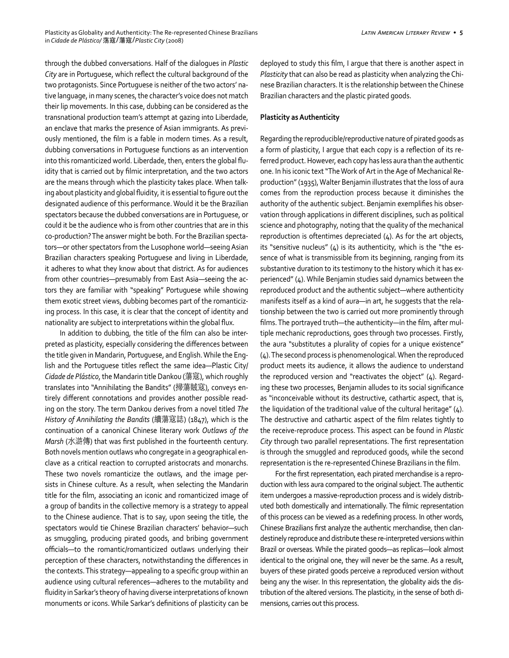through the dubbed conversations. Half of the dialogues in *Plastic City* are in Portuguese, which reflect the cultural background of the two protagonists. Since Portuguese is neither of the two actors' native language, in many scenes, the character's voice does not match their lip movements. In this case, dubbing can be considered as the transnational production team's attempt at gazing into Liberdade, an enclave that marks the presence of Asian immigrants. As previously mentioned, the film is a fable in modern times. As a result, dubbing conversations in Portuguese functions as an intervention into this romanticized world. Liberdade, then, enters the global fluidity that is carried out by filmic interpretation, and the two actors are the means through which the plasticity takes place. When talking about plasticity and global fluidity, it is essential to figure out the designated audience of this performance. Would it be the Brazilian spectators because the dubbed conversations are in Portuguese, or could it be the audience who is from other countries that are in this co-production? The answer might be both. For the Brazilian spectators—or other spectators from the Lusophone world—seeing Asian Brazilian characters speaking Portuguese and living in Liberdade, it adheres to what they know about that district. As for audiences from other countries—presumably from East Asia—seeing the actors they are familiar with "speaking" Portuguese while showing them exotic street views, dubbing becomes part of the romanticizing process. In this case, it is clear that the concept of identity and nationality are subject to interpretations within the global flux.

In addition to dubbing, the title of the film can also be interpreted as plasticity, especially considering the differences between the title given in Mandarin, Portuguese, and English. While the English and the Portuguese titles reflect the same idea—Plastic City/ *Cidade de Plástico*, the Mandarin title Dankou (蕩寇), which roughly translates into "Annihilating the Bandits" (掃蕩賊寇), conveys entirely different connotations and provides another possible reading on the story. The term Dankou derives from a novel titled *The History of Annihilating the Bandits* (續蕩寇誌) (1847), which is the continuation of a canonical Chinese literary work *Outlaws of the Marsh* (水滸傳) that was first published in the fourteenth century. Both novels mention outlaws who congregate in a geographical enclave as a critical reaction to corrupted aristocrats and monarchs. These two novels romanticize the outlaws, and the image persists in Chinese culture. As a result, when selecting the Mandarin title for the film, associating an iconic and romanticized image of a group of bandits in the collective memory is a strategy to appeal to the Chinese audience. That is to say, upon seeing the title, the spectators would tie Chinese Brazilian characters' behavior—such as smuggling, producing pirated goods, and bribing government officials—to the romantic/romanticized outlaws underlying their perception of these characters, notwithstanding the differences in the contexts. This strategy—appealing to a specific group within an audience using cultural references—adheres to the mutability and fluidity in Sarkar's theory of having diverse interpretations of known monuments or icons. While Sarkar's definitions of plasticity can be deployed to study this film, I argue that there is another aspect in *Plasticity* that can also be read as plasticity when analyzing the Chinese Brazilian characters. It is the relationship between the Chinese Brazilian characters and the plastic pirated goods.

### **Plasticity as Authenticity**

Regarding the reproducible/reproductive nature of pirated goods as a form of plasticity, I argue that each copy is a reflection of its referred product. However, each copy has less aura than the authentic one. In his iconic text "The Work of Art in the Age of Mechanical Reproduction" (1935), Walter Benjamin illustrates that the loss of aura comes from the reproduction process because it diminishes the authority of the authentic subject. Benjamin exemplifies his observation through applications in different disciplines, such as political science and photography, noting that the quality of the mechanical reproduction is oftentimes depreciated (4). As for the art objects, its "sensitive nucleus" (4) is its authenticity, which is the "the essence of what is transmissible from its beginning, ranging from its substantive duration to its testimony to the history which it has experienced" (4). While Benjamin studies said dynamics between the reproduced product and the authentic subject—where authenticity manifests itself as a kind of aura—in art, he suggests that the relationship between the two is carried out more prominently through films. The portrayed truth—the authenticity—in the film, after multiple mechanic reproductions, goes through two processes. Firstly, the aura "substitutes a plurality of copies for a unique existence" (4). The second process is phenomenological. When the reproduced product meets its audience, it allows the audience to understand the reproduced version and "reactivates the object" (4). Regarding these two processes, Benjamin alludes to its social significance as "inconceivable without its destructive, cathartic aspect, that is, the liquidation of the traditional value of the cultural heritage" (4). The destructive and cathartic aspect of the film relates tightly to the receive-reproduce process. This aspect can be found in *Plastic City* through two parallel representations. The first representation is through the smuggled and reproduced goods, while the second representation is the re-represented Chinese Brazilians in the film.

For the first representation, each pirated merchandise is a reproduction with less aura compared to the original subject. The authentic item undergoes a massive-reproduction process and is widely distributed both domestically and internationally. The filmic representation of this process can be viewed as a redefining process. In other words, Chinese Brazilians first analyze the authentic merchandise, then clandestinely reproduce and distribute these re-interpreted versions within Brazil or overseas. While the pirated goods—as replicas—look almost identical to the original one, they will never be the same. As a result, buyers of these pirated goods perceive a reproduced version without being any the wiser. In this representation, the globality aids the distribution of the altered versions. The plasticity, in the sense of both dimensions, carries out this process.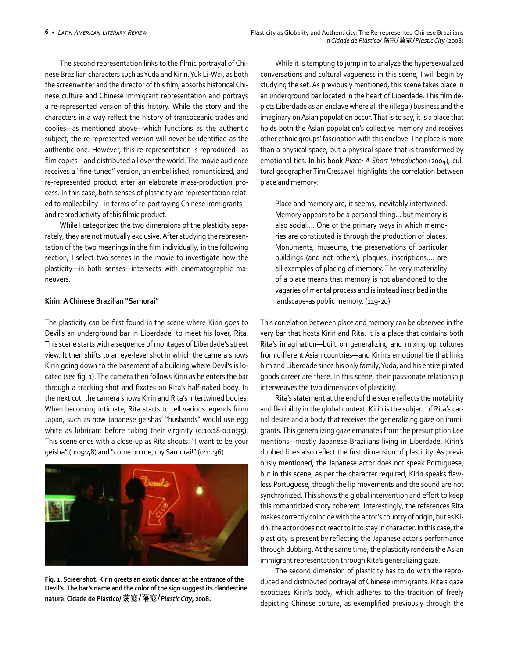The second representation links to the filmic portrayal of Chinese Brazilian characters such as Yuda and Kirin. Yuk Li-Wai, as both the screenwriter and the director of this film, absorbs historical Chinese culture and Chinese immigrant representation and portrays a re-represented version of this history. While the story and the characters in a way reflect the history of transoceanic trades and coolies—as mentioned above—which functions as the authentic subject, the re-represented version will never be identified as the authentic one. However, this re-representation is reproduced—as film copies—and distributed all over the world. The movie audience receives a "fine-tuned" version, an embellished, romanticized, and re-represented product after an elaborate mass-production process. In this case, both senses of plasticity are representation related to malleability—in terms of re-portraying Chinese immigrants and reproductivity of this filmic product.

While I categorized the two dimensions of the plasticity separately, they are not mutually exclusive. After studying the representation of the two meanings in the film individually, in the following section, I select two scenes in the movie to investigate how the plasticity—in both senses—intersects with cinematographic maneuvers.

### **Kirin: A Chinese Brazilian "Samurai"**

The plasticity can be first found in the scene where Kirin goes to Devil's an underground bar in Liberdade, to meet his lover, Rita. This scene starts with a sequence of montages of Liberdade's street view. It then shifts to an eye-level shot in which the camera shows Kirin going down to the basement of a building where Devil's is located (see fig. 1). The camera then follows Kirin as he enters the bar through a tracking shot and fixates on Rita's half-naked body. In the next cut, the camera shows Kirin and Rita's intertwined bodies. When becoming intimate, Rita starts to tell various legends from Japan, such as how Japanese geishas' "husbands" would use egg white as lubricant before taking their virginity (0:10:18-0:10:35). This scene ends with a close-up as Rita shouts: "I want to be your geisha" (0:09:48) and "come on me, my Samurai!" (0:11:36).



**Fig. 1. Screenshot. Kirin greets an exotic dancer at the entrance of the Devil's. The bar's name and the color of the sign suggest its clandestine nature. Cidade de Plástico/** 荡寇/蕩寇/*Plastic City,* **2008.**

While it is tempting to jump in to analyze the hypersexualized conversations and cultural vagueness in this scene, I will begin by studying the set. As previously mentioned, this scene takes place in an underground bar located in the heart of Liberdade. This film depicts Liberdade as an enclave where all the (illegal) business and the imaginary on Asian population occur. That is to say, it is a place that holds both the Asian population's collective memory and receives other ethnic groups' fascination with this enclave. The place is more than a physical space, but a physical space that is transformed by emotional ties. In his book *Place: A Short Introduction* (2004), cultural geographer Tim Cresswell highlights the correlation between place and memory:

Place and memory are, it seems, inevitably intertwined. Memory appears to be a personal thing… but memory is also social.… One of the primary ways in which memories are constituted is through the production of places. Monuments, museums, the preservations of particular buildings (and not others), plaques, inscriptions.… are all examples of placing of memory. The very materiality of a place means that memory is not abandoned to the vagaries of mental process and is instead inscribed in the landscape-as public memory. (119-20)

This correlation between place and memory can be observed in the very bar that hosts Kirin and Rita. It is a place that contains both Rita's imagination—built on generalizing and mixing up cultures from different Asian countries—and Kirin's emotional tie that links him and Liberdade since his only family, Yuda, and his entire pirated goods career are there. In this scene, their passionate relationship interweaves the two dimensions of plasticity.

Rita's statement at the end of the scene reflects the mutability and flexibility in the global context. Kirin is the subject of Rita's carnal desire and a body that receives the generalizing gaze on immigrants. This generalizing gaze emanates from the presumption Lee mentions—mostly Japanese Brazilians living in Liberdade. Kirin's dubbed lines also reflect the first dimension of plasticity. As previously mentioned, the Japanese actor does not speak Portuguese, but in this scene, as per the character required, Kirin speaks flawless Portuguese, though the lip movements and the sound are not synchronized. This shows the global intervention and effort to keep this romanticized story coherent. Interestingly, the references Rita makes correctly coincide with the actor's country of origin, but as Kirin, the actor does not react to it to stay in character. In this case, the plasticity is present by reflecting the Japanese actor's performance through dubbing. At the same time, the plasticity renders the Asian immigrant representation through Rita's generalizing gaze.

The second dimension of plasticity has to do with the reproduced and distributed portrayal of Chinese immigrants. Rita's gaze exoticizes Kirin's body, which adheres to the tradition of freely depicting Chinese culture, as exemplified previously through the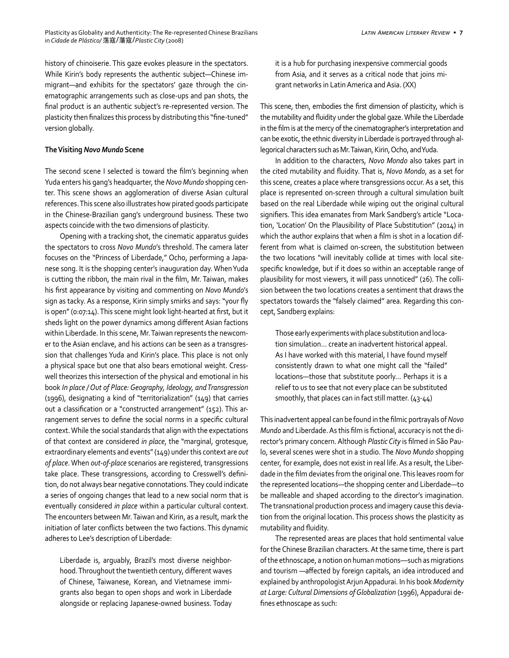history of chinoiserie. This gaze evokes pleasure in the spectators. While Kirin's body represents the authentic subject—Chinese immigrant—and exhibits for the spectators' gaze through the cinematographic arrangements such as close-ups and pan shots, the final product is an authentic subject's re-represented version. The plasticity then finalizes this process by distributing this "fine-tuned" version globally.

#### **The Visiting** *Novo Mundo* **Scene**

The second scene I selected is toward the film's beginning when Yuda enters his gang's headquarter, the *Novo Mundo* shopping center. This scene shows an agglomeration of diverse Asian cultural references. This scene also illustrates how pirated goods participate in the Chinese-Brazilian gang's underground business. These two aspects coincide with the two dimensions of plasticity.

Opening with a tracking shot, the cinematic apparatus guides the spectators to cross *Novo Mundo*'s threshold. The camera later focuses on the "Princess of Liberdade," Ocho, performing a Japanese song. It is the shopping center's inauguration day. When Yuda is cutting the ribbon, the main rival in the film, Mr. Taiwan, makes his first appearance by visiting and commenting on *Novo Mundo*'s sign as tacky. As a response, Kirin simply smirks and says: "your fly is open" (0:07:14). This scene might look light-hearted at first, but it sheds light on the power dynamics among different Asian factions within Liberdade. In this scene, Mr. Taiwan represents the newcomer to the Asian enclave, and his actions can be seen as a transgression that challenges Yuda and Kirin's place. This place is not only a physical space but one that also bears emotional weight. Cresswell theorizes this intersection of the physical and emotional in his book *In place / Out of Place: Geography, Ideology, and Transgression* (1996), designating a kind of "territorialization" (149) that carries out a classification or a "constructed arrangement" (152). This arrangement serves to define the social norms in a specific cultural context. While the social standards that align with the expectations of that context are considered *in place*, the "marginal, grotesque, extraordinary elements and events" (149) under this context are *out of place*. When *out-of-place* scenarios are registered, transgressions take place. These transgressions, according to Cresswell's definition, do not always bear negative connotations. They could indicate a series of ongoing changes that lead to a new social norm that is eventually considered *in place* within a particular cultural context. The encounters between Mr. Taiwan and Kirin, as a result, mark the initiation of later conflicts between the two factions. This dynamic adheres to Lee's description of Liberdade:

Liberdade is, arguably, Brazil's most diverse neighborhood. Throughout the twentieth century, different waves of Chinese, Taiwanese, Korean, and Vietnamese immigrants also began to open shops and work in Liberdade alongside or replacing Japanese-owned business. Today it is a hub for purchasing inexpensive commercial goods from Asia, and it serves as a critical node that joins migrant networks in Latin America and Asia. (XX)

This scene, then, embodies the first dimension of plasticity, which is the mutability and fluidity under the global gaze. While the Liberdade in the film is at the mercy of the cinematographer's interpretation and can be exotic, the ethnic diversity in Liberdade is portrayed through allegorical characters such as Mr. Taiwan, Kirin, Ocho, and Yuda.

In addition to the characters, *Novo Mondo* also takes part in the cited mutability and fluidity. That is, *Novo Mondo*, as a set for this scene, creates a place where transgressions occur. As a set, this place is represented on-screen through a cultural simulation built based on the real Liberdade while wiping out the original cultural signifiers. This idea emanates from Mark Sandberg's article "Location, 'Location' On the Plausibility of Place Substitution" (2014) in which the author explains that when a film is shot in a location different from what is claimed on-screen, the substitution between the two locations "will inevitably collide at times with local sitespecific knowledge, but if it does so within an acceptable range of plausibility for most viewers, it will pass unnoticed" (26). The collision between the two locations creates a sentiment that draws the spectators towards the "falsely claimed" area. Regarding this concept, Sandberg explains:

Those early experiments with place substitution and location simulation… create an inadvertent historical appeal. As I have worked with this material, I have found myself consistently drawn to what one might call the "failed" locations—those that substitute poorly… Perhaps it is a relief to us to see that not every place can be substituted smoothly, that places can in fact still matter. (43-44)

This inadvertent appeal can be found in the filmic portrayals of *Novo Mundo* and Liberdade. As this film is fictional, accuracy is not the director's primary concern. Although *Plastic City* is filmed in São Paulo, several scenes were shot in a studio. The *Novo Mundo* shopping center*,* for example, does not exist in real life. As a result, the Liberdade in the film deviates from the original one. This leaves room for the represented locations—the shopping center and Liberdade—to be malleable and shaped according to the director's imagination. The transnational production process and imagery cause this deviation from the original location. This process shows the plasticity as mutability and fluidity.

The represented areas are places that hold sentimental value for the Chinese Brazilian characters. At the same time, there is part of the ethnoscape, a notion on human motions––such as migrations and tourism —affected by foreign capitals, an idea introduced and explained by anthropologist Arjun Appadurai. In his book *Modernity at Large: Cultural Dimensions of Globalization* (1996), Appadurai defines ethnoscape as such: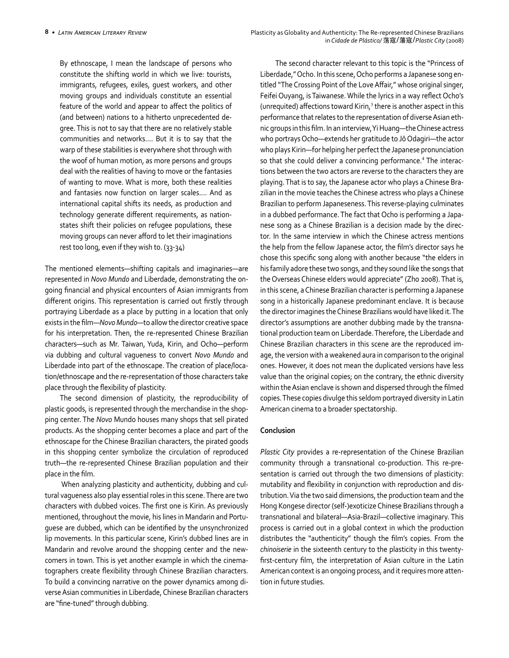By ethnoscape, I mean the landscape of persons who constitute the shifting world in which we live: tourists, immigrants, refugees, exiles, guest workers, and other moving groups and individuals constitute an essential feature of the world and appear to affect the politics of (and between) nations to a hitherto unprecedented degree. This is not to say that there are no relatively stable communities and networks.… But it is to say that the warp of these stabilities is everywhere shot through with the woof of human motion, as more persons and groups deal with the realities of having to move or the fantasies of wanting to move. What is more, both these realities and fantasies now function on larger scales.… And as international capital shifts its needs, as production and technology generate different requirements, as nationstates shift their policies on refugee populations, these moving groups can never afford to let their imaginations rest too long, even if they wish to. (33-34)

The mentioned elements—shifting capitals and imaginaries—are represented in *Novo Mundo* and Liberdade, demonstrating the ongoing financial and physical encounters of Asian immigrants from different origins. This representation is carried out firstly through portraying Liberdade as a place by putting in a location that only exists in the film—*Novo Mundo—*to allow the director creative space for his interpretation. Then, the re-represented Chinese Brazilian characters—such as Mr. Taiwan, Yuda, Kirin, and Ocho—perform via dubbing and cultural vagueness to convert *Novo Mundo* and Liberdade into part of the ethnoscape. The creation of place/location/ethnoscape and the re-representation of those characters take place through the flexibility of plasticity.

The second dimension of plasticity, the reproducibility of plastic goods, is represented through the merchandise in the shopping center. The *Novo* Mundo houses many shops that sell pirated products. As the shopping center becomes a place and part of the ethnoscape for the Chinese Brazilian characters, the pirated goods in this shopping center symbolize the circulation of reproduced truth—the re-represented Chinese Brazilian population and their place in the film.

 When analyzing plasticity and authenticity, dubbing and cultural vagueness also play essential roles in this scene. There are two characters with dubbed voices. The first one is Kirin. As previously mentioned, throughout the movie, his lines in Mandarin and Portuguese are dubbed, which can be identified by the unsynchronized lip movements. In this particular scene, Kirin's dubbed lines are in Mandarin and revolve around the shopping center and the newcomers in town. This is yet another example in which the cinematographers create flexibility through Chinese Brazilian characters. To build a convincing narrative on the power dynamics among diverse Asian communities in Liberdade, Chinese Brazilian characters are "fine-tuned" through dubbing.

The second character relevant to this topic is the "Princess of Liberdade," Ocho. In this scene, Ocho performs a Japanese song entitled "The Crossing Point of the Love Affair," whose original singer, Feifei Ouyang, is Taiwanese. While the lyrics in a way reflect Ocho's (unrequited) affections toward Kirin,<sup>3</sup> there is another aspect in this performance that relates to the representation of diverse Asian ethnic groups in this film. In an interview, Yi Huang—the Chinese actress who portrays Ocho—extends her gratitude to Jō Odagiri—the actor who plays Kirin—for helping her perfect the Japanese pronunciation so that she could deliver a convincing performance.<sup>4</sup> The interactions between the two actors are reverse to the characters they are playing. That is to say, the Japanese actor who plays a Chinese Brazilian in the movie teaches the Chinese actress who plays a Chinese Brazilian to perform Japaneseness. This reverse-playing culminates in a dubbed performance. The fact that Ocho is performing a Japanese song as a Chinese Brazilian is a decision made by the director. In the same interview in which the Chinese actress mentions the help from the fellow Japanese actor, the film's director says he chose this specific song along with another because "the elders in his family adore these two songs, and they sound like the songs that the Overseas Chinese elders would appreciate" (Zho 2008). That is, in this scene, a Chinese Brazilian character is performing a Japanese song in a historically Japanese predominant enclave. It is because the director imagines the Chinese Brazilians would have liked it. The director's assumptions are another dubbing made by the transnational production team on Liberdade. Therefore, the Liberdade and Chinese Brazilian characters in this scene are the reproduced image, the version with a weakened aura in comparison to the original ones. However, it does not mean the duplicated versions have less value than the original copies; on the contrary, the ethnic diversity within the Asian enclave is shown and dispersed through the filmed copies. These copies divulge this seldom portrayed diversity in Latin American cinema to a broader spectatorship.

## **Conclusion**

*Plastic City* provides a re-representation of the Chinese Brazilian community through a transnational co-production. This re-presentation is carried out through the two dimensions of plasticity: mutability and flexibility in conjunction with reproduction and distribution. Via the two said dimensions, the production team and the Hong Kongese director (self-)exoticize Chinese Brazilians through a transnational and bilateral—Asia-Brazil—collective imaginary. This process is carried out in a global context in which the production distributes the "authenticity" though the film's copies. From the *chinoiserie* in the sixteenth century to the plasticity in this twentyfirst-century film, the interpretation of Asian culture in the Latin American context is an ongoing process, and it requires more attention in future studies.